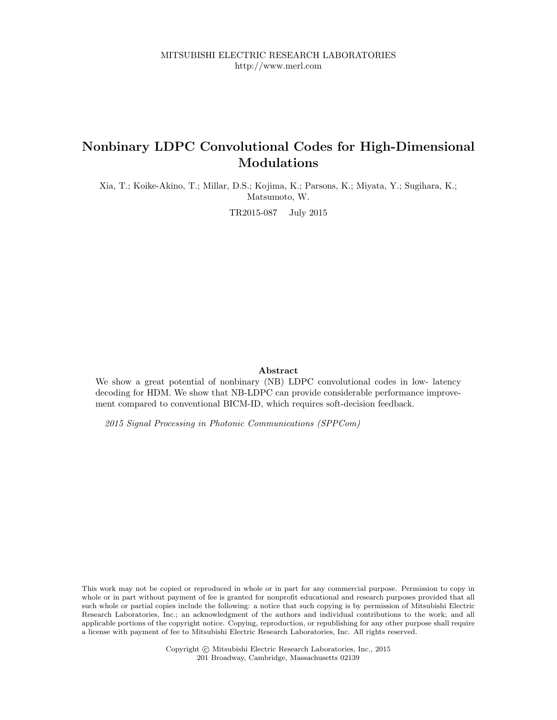MITSUBISHI ELECTRIC RESEARCH LABORATORIES http://www.merl.com

# Nonbinary LDPC Convolutional Codes for High-Dimensional Modulations

Xia, T.; Koike-Akino, T.; Millar, D.S.; Kojima, K.; Parsons, K.; Miyata, Y.; Sugihara, K.; Matsumoto, W.

TR2015-087 July 2015

# Abstract

We show a great potential of nonbinary (NB) LDPC convolutional codes in low- latency decoding for HDM. We show that NB-LDPC can provide considerable performance improvement compared to conventional BICM-ID, which requires soft-decision feedback.

2015 Signal Processing in Photonic Communications (SPPCom)

This work may not be copied or reproduced in whole or in part for any commercial purpose. Permission to copy in whole or in part without payment of fee is granted for nonprofit educational and research purposes provided that all such whole or partial copies include the following: a notice that such copying is by permission of Mitsubishi Electric Research Laboratories, Inc.; an acknowledgment of the authors and individual contributions to the work; and all applicable portions of the copyright notice. Copying, reproduction, or republishing for any other purpose shall require a license with payment of fee to Mitsubishi Electric Research Laboratories, Inc. All rights reserved.

> Copyright © Mitsubishi Electric Research Laboratories, Inc., 2015 201 Broadway, Cambridge, Massachusetts 02139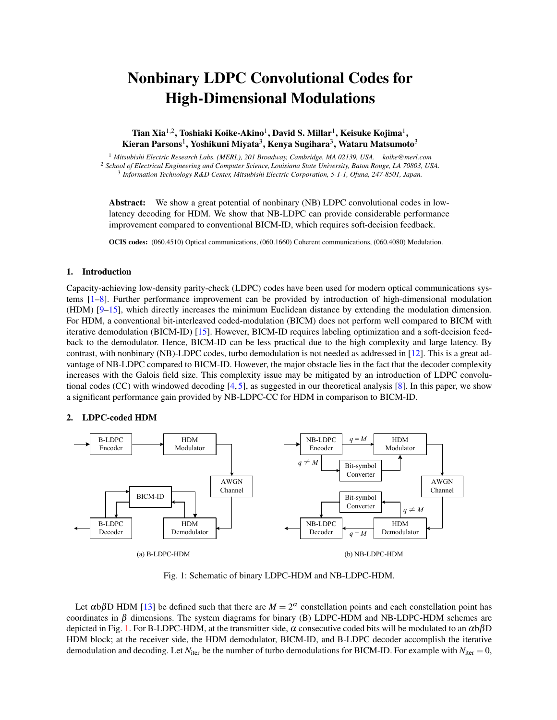# Nonbinary LDPC Convolutional Codes for High-Dimensional Modulations

Tian Xia<sup>1,2</sup>, Toshiaki Koike-Akino<sup>1</sup>, David S. Millar<sup>1</sup>, Keisuke Kojima<sup>1</sup>, Kieran Parsons<sup>1</sup>, Yoshikuni Miyata<sup>3</sup>, Kenya Sugihara<sup>3</sup>, Wataru Matsumoto<sup>3</sup>

<sup>1</sup> *Mitsubishi Electric Research Labs. (MERL), 201 Broadway, Cambridge, MA 02139, USA. koike@merl.com* <sup>2</sup> *School of Electrical Engineering and Computer Science, Louisiana State University, Baton Rouge, LA 70803, USA.* <sup>3</sup> *Information Technology R&D Center, Mitsubishi Electric Corporation, 5-1-1, Ofuna, 247-8501, Japan.*

**Abstract:** We show a great potential of nonbinary (NB) LDPC convolutional codes in lowlatency decoding for HDM. We show that NB-LDPC can provide considerable performance improvement compared to conventional BICM-ID, which requires soft-decision feedback.

OCIS codes: (060.4510) Optical communications, (060.1660) Coherent communications, (060.4080) Modulation.

## 1. Introduction

Capacity-achieving low-density parity-check (LDPC) codes have been used for modern optical communications systems [1–8]. Further performance improvement can be provided by introduction of high-dimensional modulation (HDM) [9–15], which directly increases the minimum Euclidean distance by extending the modulation dimension. For HDM, a conventional bit-interleaved coded-modulation (BICM) does not perform well compared to BICM with iterative demodulation (BICM-ID) [15]. However, BICM-ID requires labeling optimization and a soft-decision feedback to the demodulator. Hence, BICM-ID can be less practical due to the high complexity and large latency. By contrast, with nonbinary (NB)-LDPC codes, turbo demodulation is not needed as addressed in [12]. This is a great advantage of NB-LDPC compared to BICM-ID. However, the major obstacle lies in the fact that the decoder complexity increases with the Galois field size. This complexity issue may be mitigated by an introduction of LDPC convolutional codes (CC) with windowed decoding [4, 5], as suggested in our theoretical analysis [8]. In this paper, we show a significant performance gain provided by NB-LDPC-CC for HDM in comparison to BICM-ID.

# 2. LDPC-coded HDM



Fig. 1: Schematic of binary LDPC-HDM and NB-LDPC-HDM.

Let  $\alpha$ b $\beta$ D HDM [13] be defined such that there are  $M = 2^{\alpha}$  constellation points and each constellation point has coordinates in  $\beta$  dimensions. The system diagrams for binary (B) LDPC-HDM and NB-LDPC-HDM schemes are depicted in Fig. 1. For B-LDPC-HDM, at the transmitter side,  $\alpha$  consecutive coded bits will be modulated to an  $\alpha b\beta D$ HDM block; at the receiver side, the HDM demodulator, BICM-ID, and B-LDPC decoder accomplish the iterative demodulation and decoding. Let  $N_{\text{iter}}$  be the number of turbo demodulations for BICM-ID. For example with  $N_{\text{iter}} = 0$ ,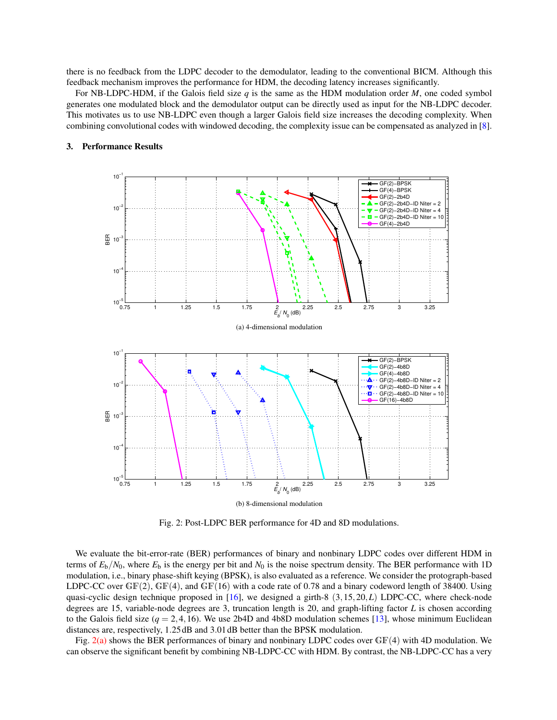there is no feedback from the LDPC decoder to the demodulator, leading to the conventional BICM. Although this feedback mechanism improves the performance for HDM, the decoding latency increases significantly.

For NB-LDPC-HDM, if the Galois field size *q* is the same as the HDM modulation order *M*, one coded symbol generates one modulated block and the demodulator output can be directly used as input for the NB-LDPC decoder. This motivates us to use NB-LDPC even though a larger Galois field size increases the decoding complexity. When combining convolutional codes with windowed decoding, the complexity issue can be compensated as analyzed in [8].



#### 3. Performance Results

Fig. 2: Post-LDPC BER performance for 4D and 8D modulations.

We evaluate the bit-error-rate (BER) performances of binary and nonbinary LDPC codes over different HDM in terms of  $E_b/N_0$ , where  $E_b$  is the energy per bit and  $N_0$  is the noise spectrum density. The BER performance with 1D modulation, i.e., binary phase-shift keying (BPSK), is also evaluated as a reference. We consider the protograph-based LDPC-CC over  $GF(2)$ ,  $GF(4)$ , and  $GF(16)$  with a code rate of 0.78 and a binary codeword length of 38400. Using quasi-cyclic design technique proposed in [16], we designed a girth-8 (3*,*15*,*20*,L*) LDPC-CC, where check-node degrees are 15, variable-node degrees are 3, truncation length is 20, and graph-lifting factor *L* is chosen according to the Galois field size  $(q = 2, 4, 16)$ . We use 2b4D and 4b8D modulation schemes [13], whose minimum Euclidean distances are, respectively, 1*.*25 dB and 3*.*01 dB better than the BPSK modulation.

Fig. 2(a) shows the BER performances of binary and nonbinary LDPC codes over GF(4) with 4D modulation. We can observe the significant benefit by combining NB-LDPC-CC with HDM. By contrast, the NB-LDPC-CC has a very